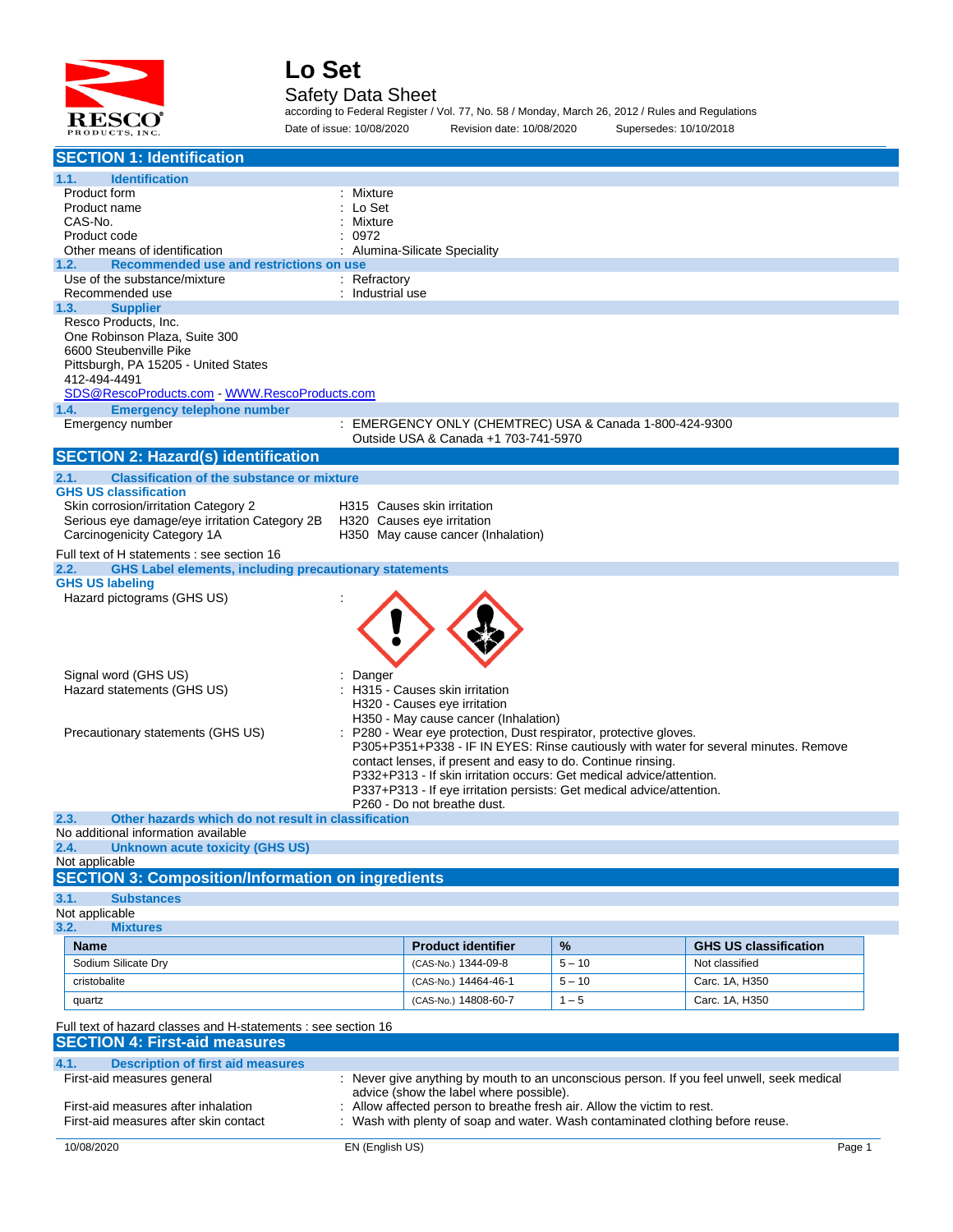

#### Safety Data Sheet

according to Federal Register / Vol. 77, No. 58 / Monday, March 26, 2012 / Rules and Regulations Date of issue: 10/08/2020 Revision date: 10/08/2020 Supersedes: 10/10/2018

| <b>SECTION 1: Identification</b>                                                                                                                        |                                                                                                         |          |                              |  |
|---------------------------------------------------------------------------------------------------------------------------------------------------------|---------------------------------------------------------------------------------------------------------|----------|------------------------------|--|
| 1.1.<br><b>Identification</b>                                                                                                                           |                                                                                                         |          |                              |  |
| Product form                                                                                                                                            | : Mixture                                                                                               |          |                              |  |
| Product name                                                                                                                                            | Lo Set                                                                                                  |          |                              |  |
| CAS-No.                                                                                                                                                 | Mixture                                                                                                 |          |                              |  |
| Product code<br>Other means of identification                                                                                                           | 0972<br>Alumina-Silicate Speciality                                                                     |          |                              |  |
| Recommended use and restrictions on use<br>1.2.                                                                                                         |                                                                                                         |          |                              |  |
| Use of the substance/mixture                                                                                                                            | $:$ Refractory                                                                                          |          |                              |  |
| Recommended use                                                                                                                                         | Industrial use                                                                                          |          |                              |  |
| <b>Supplier</b><br>1.3.<br>Resco Products, Inc.                                                                                                         |                                                                                                         |          |                              |  |
| One Robinson Plaza, Suite 300                                                                                                                           |                                                                                                         |          |                              |  |
| 6600 Steubenville Pike                                                                                                                                  |                                                                                                         |          |                              |  |
| Pittsburgh, PA 15205 - United States                                                                                                                    |                                                                                                         |          |                              |  |
| 412-494-4491<br>SDS@RescoProducts.com WWW.RescoProducts.com                                                                                             |                                                                                                         |          |                              |  |
| <b>Emergency telephone number</b><br>1.4.                                                                                                               |                                                                                                         |          |                              |  |
| Emergency number                                                                                                                                        | : EMERGENCY ONLY (CHEMTREC) USA & Canada 1-800-424-9300                                                 |          |                              |  |
|                                                                                                                                                         | Outside USA & Canada +1 703-741-5970                                                                    |          |                              |  |
| <b>SECTION 2: Hazard(s) identification</b>                                                                                                              |                                                                                                         |          |                              |  |
| 2.1.<br><b>Classification of the substance or mixture</b>                                                                                               |                                                                                                         |          |                              |  |
| <b>GHS US classification</b>                                                                                                                            |                                                                                                         |          |                              |  |
| Skin corrosion/irritation Category 2<br>Serious eye damage/eye irritation Category 2B                                                                   | H315 Causes skin irritation<br>H320 Causes eye irritation                                               |          |                              |  |
| Carcinogenicity Category 1A                                                                                                                             | H350 May cause cancer (Inhalation)                                                                      |          |                              |  |
| Full text of H statements : see section 16                                                                                                              |                                                                                                         |          |                              |  |
| <b>GHS Label elements, including precautionary statements</b><br>2.2.                                                                                   |                                                                                                         |          |                              |  |
| <b>GHS US labeling</b>                                                                                                                                  |                                                                                                         |          |                              |  |
| Hazard pictograms (GHS US)                                                                                                                              |                                                                                                         |          |                              |  |
|                                                                                                                                                         |                                                                                                         |          |                              |  |
|                                                                                                                                                         |                                                                                                         |          |                              |  |
|                                                                                                                                                         |                                                                                                         |          |                              |  |
| Signal word (GHS US)                                                                                                                                    | Danger                                                                                                  |          |                              |  |
| Hazard statements (GHS US)                                                                                                                              | H315 - Causes skin irritation                                                                           |          |                              |  |
|                                                                                                                                                         | H320 - Causes eye irritation                                                                            |          |                              |  |
| Precautionary statements (GHS US)                                                                                                                       | H350 - May cause cancer (Inhalation)<br>P280 - Wear eye protection, Dust respirator, protective gloves. |          |                              |  |
|                                                                                                                                                         | P305+P351+P338 - IF IN EYES: Rinse cautiously with water for several minutes. Remove                    |          |                              |  |
|                                                                                                                                                         | contact lenses, if present and easy to do. Continue rinsing.                                            |          |                              |  |
|                                                                                                                                                         | P332+P313 - If skin irritation occurs: Get medical advice/attention.                                    |          |                              |  |
|                                                                                                                                                         | P337+P313 - If eye irritation persists: Get medical advice/attention.                                   |          |                              |  |
| Other hazards which do not result in classification<br>2.3.                                                                                             | P260 - Do not breathe dust.                                                                             |          |                              |  |
| No additional information available                                                                                                                     |                                                                                                         |          |                              |  |
| 2.4.<br><b>Unknown acute toxicity (GHS US)</b>                                                                                                          |                                                                                                         |          |                              |  |
| Not applicable                                                                                                                                          |                                                                                                         |          |                              |  |
| <b>SECTION 3: Composition/Information on ingredients</b>                                                                                                |                                                                                                         |          |                              |  |
| 3.1.<br><b>Substances</b><br>Not applicable                                                                                                             |                                                                                                         |          |                              |  |
| 3.2.<br><b>Mixtures</b>                                                                                                                                 |                                                                                                         |          |                              |  |
| Name                                                                                                                                                    | <b>Product identifier</b>                                                                               | %        | <b>GHS US classification</b> |  |
| Sodium Silicate Dry                                                                                                                                     | (CAS-No.) 1344-09-8                                                                                     | $5 - 10$ | Not classified               |  |
| cristobalite                                                                                                                                            | (CAS-No.) 14464-46-1                                                                                    | $5 - 10$ | Carc. 1A, H350               |  |
|                                                                                                                                                         |                                                                                                         | $1 - 5$  |                              |  |
| quartz                                                                                                                                                  | (CAS-No.) 14808-60-7                                                                                    |          | Carc. 1A, H350               |  |
| Full text of hazard classes and H-statements : see section 16                                                                                           |                                                                                                         |          |                              |  |
| <b>SECTION 4: First-aid measures</b>                                                                                                                    |                                                                                                         |          |                              |  |
| 4.1.<br><b>Description of first aid measures</b>                                                                                                        |                                                                                                         |          |                              |  |
| First-aid measures general                                                                                                                              | : Never give anything by mouth to an unconscious person. If you feel unwell, seek medical               |          |                              |  |
| advice (show the label where possible).<br>First-aid measures after inhalation<br>Allow affected person to breathe fresh air. Allow the victim to rest. |                                                                                                         |          |                              |  |
| First-aid measures after skin contact                                                                                                                   | Wash with plenty of soap and water. Wash contaminated clothing before reuse.                            |          |                              |  |
|                                                                                                                                                         |                                                                                                         |          |                              |  |
| 10/08/2020                                                                                                                                              | EN (English US)                                                                                         |          | Page 1                       |  |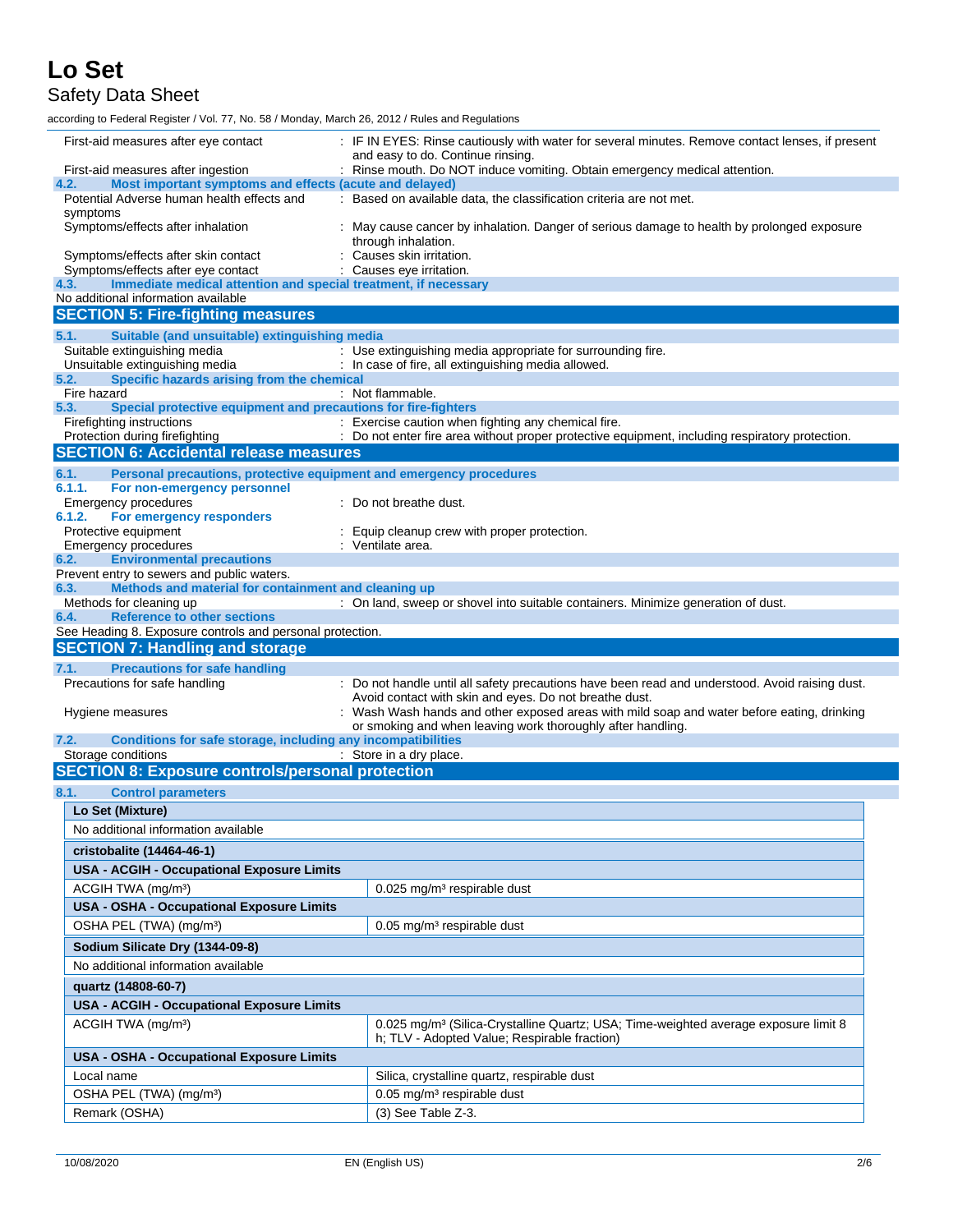## Safety Data Sheet

according to Federal Register / Vol. 77, No. 58 / Monday, March 26, 2012 / Rules and Regulations

| First-aid measures after eye contact                                        | : IF IN EYES: Rinse cautiously with water for several minutes. Remove contact lenses, if present                                                       |
|-----------------------------------------------------------------------------|--------------------------------------------------------------------------------------------------------------------------------------------------------|
| First-aid measures after ingestion                                          | and easy to do. Continue rinsing.<br>: Rinse mouth. Do NOT induce vomiting. Obtain emergency medical attention.                                        |
| Most important symptoms and effects (acute and delayed)<br>4.2.             |                                                                                                                                                        |
| Potential Adverse human health effects and<br>symptoms                      | : Based on available data, the classification criteria are not met.                                                                                    |
| Symptoms/effects after inhalation                                           | : May cause cancer by inhalation. Danger of serious damage to health by prolonged exposure                                                             |
| Symptoms/effects after skin contact                                         | through inhalation.<br>: Causes skin irritation.                                                                                                       |
| Symptoms/effects after eye contact                                          | : Causes eye irritation.                                                                                                                               |
| Immediate medical attention and special treatment, if necessary<br>4.3.     |                                                                                                                                                        |
| No additional information available                                         |                                                                                                                                                        |
| <b>SECTION 5: Fire-fighting measures</b>                                    |                                                                                                                                                        |
| 5.1.<br>Suitable (and unsuitable) extinguishing media                       |                                                                                                                                                        |
| Suitable extinguishing media<br>Unsuitable extinguishing media              | : Use extinguishing media appropriate for surrounding fire.<br>: In case of fire, all extinguishing media allowed.                                     |
| Specific hazards arising from the chemical<br>5.2.                          |                                                                                                                                                        |
| Fire hazard                                                                 | : Not flammable.                                                                                                                                       |
| Special protective equipment and precautions for fire-fighters<br>5.3.      |                                                                                                                                                        |
| Firefighting instructions<br>Protection during firefighting                 | : Exercise caution when fighting any chemical fire.<br>: Do not enter fire area without proper protective equipment, including respiratory protection. |
| <b>SECTION 6: Accidental release measures</b>                               |                                                                                                                                                        |
| Personal precautions, protective equipment and emergency procedures<br>6.1. |                                                                                                                                                        |
| 6.1.1.<br>For non-emergency personnel                                       |                                                                                                                                                        |
| Emergency procedures                                                        | : Do not breathe dust.                                                                                                                                 |
| 6.1.2.<br>For emergency responders                                          |                                                                                                                                                        |
| Protective equipment<br><b>Emergency procedures</b>                         | Equip cleanup crew with proper protection.<br>: Ventilate area.                                                                                        |
| <b>Environmental precautions</b><br>6.2.                                    |                                                                                                                                                        |
| Prevent entry to sewers and public waters.                                  |                                                                                                                                                        |
| Methods and material for containment and cleaning up<br>6.3.                |                                                                                                                                                        |
| Methods for cleaning up<br><b>Reference to other sections</b><br>6.4.       | : On land, sweep or shovel into suitable containers. Minimize generation of dust.                                                                      |
|                                                                             |                                                                                                                                                        |
| See Heading 8. Exposure controls and personal protection.                   |                                                                                                                                                        |
| <b>SECTION 7: Handling and storage</b>                                      |                                                                                                                                                        |
| 7.1.<br><b>Precautions for safe handling</b>                                |                                                                                                                                                        |
| Precautions for safe handling                                               | : Do not handle until all safety precautions have been read and understood. Avoid raising dust.                                                        |
|                                                                             | Avoid contact with skin and eyes. Do not breathe dust.                                                                                                 |
| Hygiene measures                                                            | : Wash Wash hands and other exposed areas with mild soap and water before eating, drinking                                                             |
| Conditions for safe storage, including any incompatibilities<br>7.2.        | or smoking and when leaving work thoroughly after handling.                                                                                            |
| Storage conditions                                                          | : Store in a dry place.                                                                                                                                |
| <b>SECTION 8: Exposure controls/personal protection</b>                     |                                                                                                                                                        |
| 8.1.<br><b>Control parameters</b>                                           |                                                                                                                                                        |
| Lo Set (Mixture)                                                            |                                                                                                                                                        |
| No additional information available                                         |                                                                                                                                                        |
| cristobalite (14464-46-1)                                                   |                                                                                                                                                        |
| <b>USA - ACGIH - Occupational Exposure Limits</b>                           |                                                                                                                                                        |
| ACGIH TWA (mg/m <sup>3</sup> )                                              | 0.025 mg/m <sup>3</sup> respirable dust                                                                                                                |
| <b>USA - OSHA - Occupational Exposure Limits</b>                            |                                                                                                                                                        |
| OSHA PEL (TWA) (mg/m <sup>3</sup> )                                         | $0.05$ mg/m <sup>3</sup> respirable dust                                                                                                               |
|                                                                             |                                                                                                                                                        |
| Sodium Silicate Dry (1344-09-8)                                             |                                                                                                                                                        |
| No additional information available                                         |                                                                                                                                                        |
| quartz (14808-60-7)                                                         |                                                                                                                                                        |
| <b>USA - ACGIH - Occupational Exposure Limits</b>                           |                                                                                                                                                        |
| ACGIH TWA (mg/m <sup>3</sup> )                                              | 0.025 mg/m <sup>3</sup> (Silica-Crystalline Quartz; USA; Time-weighted average exposure limit 8<br>h; TLV - Adopted Value; Respirable fraction)        |
| <b>USA - OSHA - Occupational Exposure Limits</b>                            |                                                                                                                                                        |
| Local name                                                                  | Silica, crystalline quartz, respirable dust                                                                                                            |
| OSHA PEL (TWA) (mg/m <sup>3</sup> )                                         | 0.05 mg/m <sup>3</sup> respirable dust                                                                                                                 |
| Remark (OSHA)                                                               | (3) See Table Z-3.                                                                                                                                     |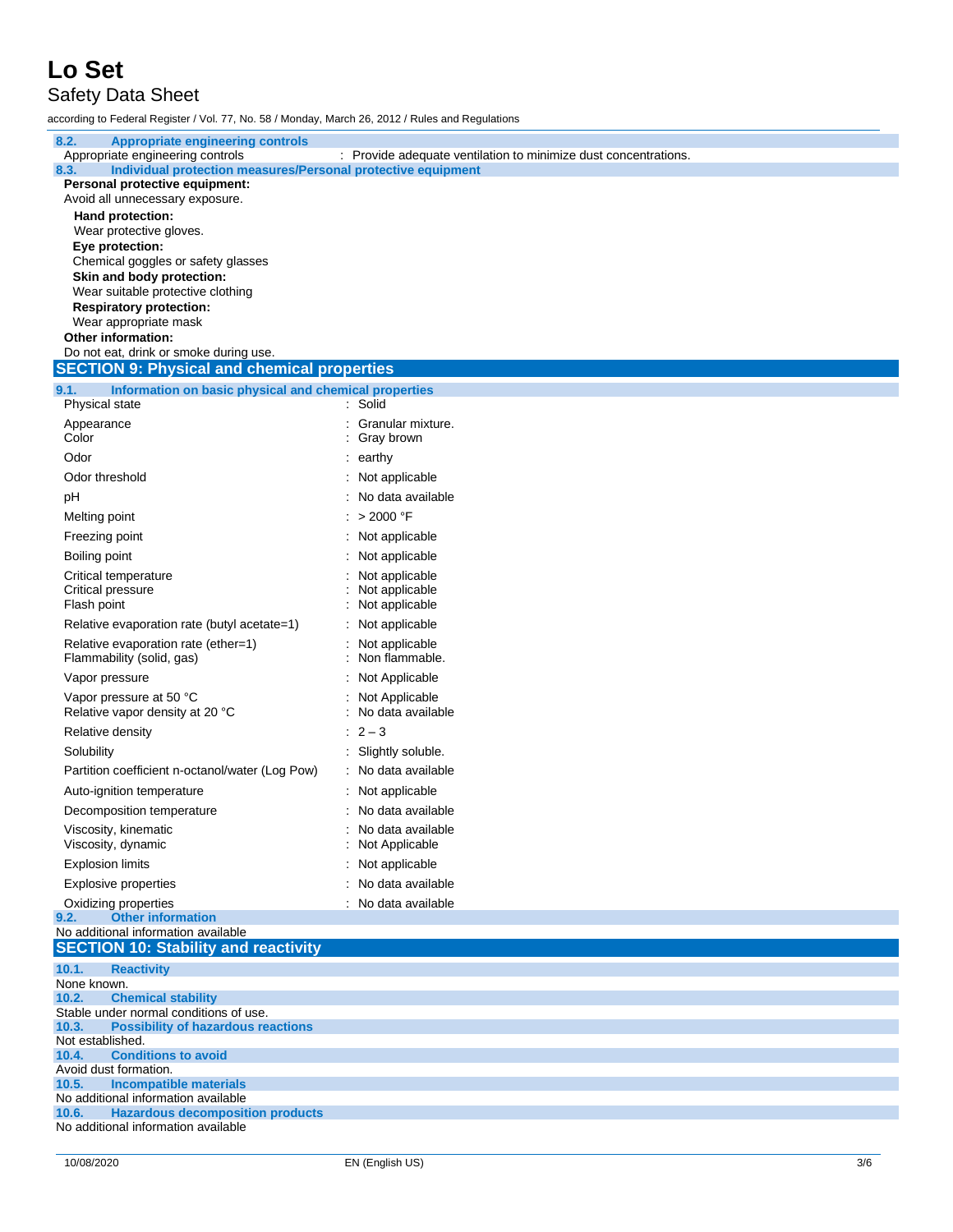Safety Data Sheet

according to Federal Register / Vol. 77, No. 58 / Monday, March 26, 2012 / Rules and Regulations

| 8.2.<br><b>Appropriate engineering controls</b>                               |                                                                 |
|-------------------------------------------------------------------------------|-----------------------------------------------------------------|
| Appropriate engineering controls                                              | : Provide adequate ventilation to minimize dust concentrations. |
| Individual protection measures/Personal protective equipment<br>8.3.          |                                                                 |
| Personal protective equipment:                                                |                                                                 |
| Avoid all unnecessary exposure.                                               |                                                                 |
| Hand protection:                                                              |                                                                 |
| Wear protective gloves.                                                       |                                                                 |
| Eye protection:                                                               |                                                                 |
| Chemical goggles or safety glasses                                            |                                                                 |
| Skin and body protection:<br>Wear suitable protective clothing                |                                                                 |
|                                                                               |                                                                 |
| <b>Respiratory protection:</b><br>Wear appropriate mask                       |                                                                 |
| Other information:                                                            |                                                                 |
| Do not eat, drink or smoke during use.                                        |                                                                 |
| <b>SECTION 9: Physical and chemical properties</b>                            |                                                                 |
|                                                                               |                                                                 |
| 9.1.<br>Information on basic physical and chemical properties                 |                                                                 |
| Physical state                                                                | : Solid                                                         |
| Appearance                                                                    | Granular mixture.                                               |
| Color                                                                         | Gray brown                                                      |
| Odor                                                                          | $:$ earthy                                                      |
| Odor threshold                                                                | : Not applicable                                                |
|                                                                               |                                                                 |
| pH                                                                            | No data available                                               |
| Melting point                                                                 | > 2000 °F                                                       |
| Freezing point                                                                | : Not applicable                                                |
| Boiling point                                                                 | Not applicable                                                  |
| Critical temperature                                                          | Not applicable                                                  |
| Critical pressure                                                             | Not applicable                                                  |
| Flash point                                                                   | Not applicable                                                  |
|                                                                               |                                                                 |
| Relative evaporation rate (butyl acetate=1)                                   | Not applicable                                                  |
| Relative evaporation rate (ether=1)                                           | Not applicable                                                  |
| Flammability (solid, gas)                                                     | Non flammable.                                                  |
| Vapor pressure                                                                | Not Applicable                                                  |
| Vapor pressure at 50 °C                                                       | Not Applicable                                                  |
| Relative vapor density at 20 °C                                               | No data available                                               |
| Relative density                                                              | $: 2 - 3$                                                       |
|                                                                               |                                                                 |
| Solubility                                                                    | Slightly soluble.                                               |
| Partition coefficient n-octanol/water (Log Pow)                               | : No data available                                             |
| Auto-ignition temperature                                                     | : Not applicable                                                |
| Decomposition temperature                                                     | No data available                                               |
| Viscosity, kinematic                                                          | No data available                                               |
| Viscosity, dynamic                                                            | Not Applicable                                                  |
|                                                                               |                                                                 |
| <b>Explosion limits</b>                                                       | Not applicable                                                  |
| <b>Explosive properties</b>                                                   | No data available                                               |
| Oxidizing properties                                                          | No data available                                               |
| <b>Other information</b><br>9.2.                                              |                                                                 |
| No additional information available                                           |                                                                 |
| <b>SECTION 10: Stability and reactivity</b>                                   |                                                                 |
| 10.1.<br><b>Reactivity</b>                                                    |                                                                 |
| None known.                                                                   |                                                                 |
| <b>Chemical stability</b><br>10.2.                                            |                                                                 |
| Stable under normal conditions of use.                                        |                                                                 |
| 10.3.<br><b>Possibility of hazardous reactions</b>                            |                                                                 |
| Not established.<br><b>Conditions to avoid</b>                                |                                                                 |
| 10.4.<br>Avoid dust formation.                                                |                                                                 |
|                                                                               |                                                                 |
|                                                                               |                                                                 |
| <b>Incompatible materials</b><br>10.5.<br>No additional information available |                                                                 |
| 10.6.<br><b>Hazardous decomposition products</b>                              |                                                                 |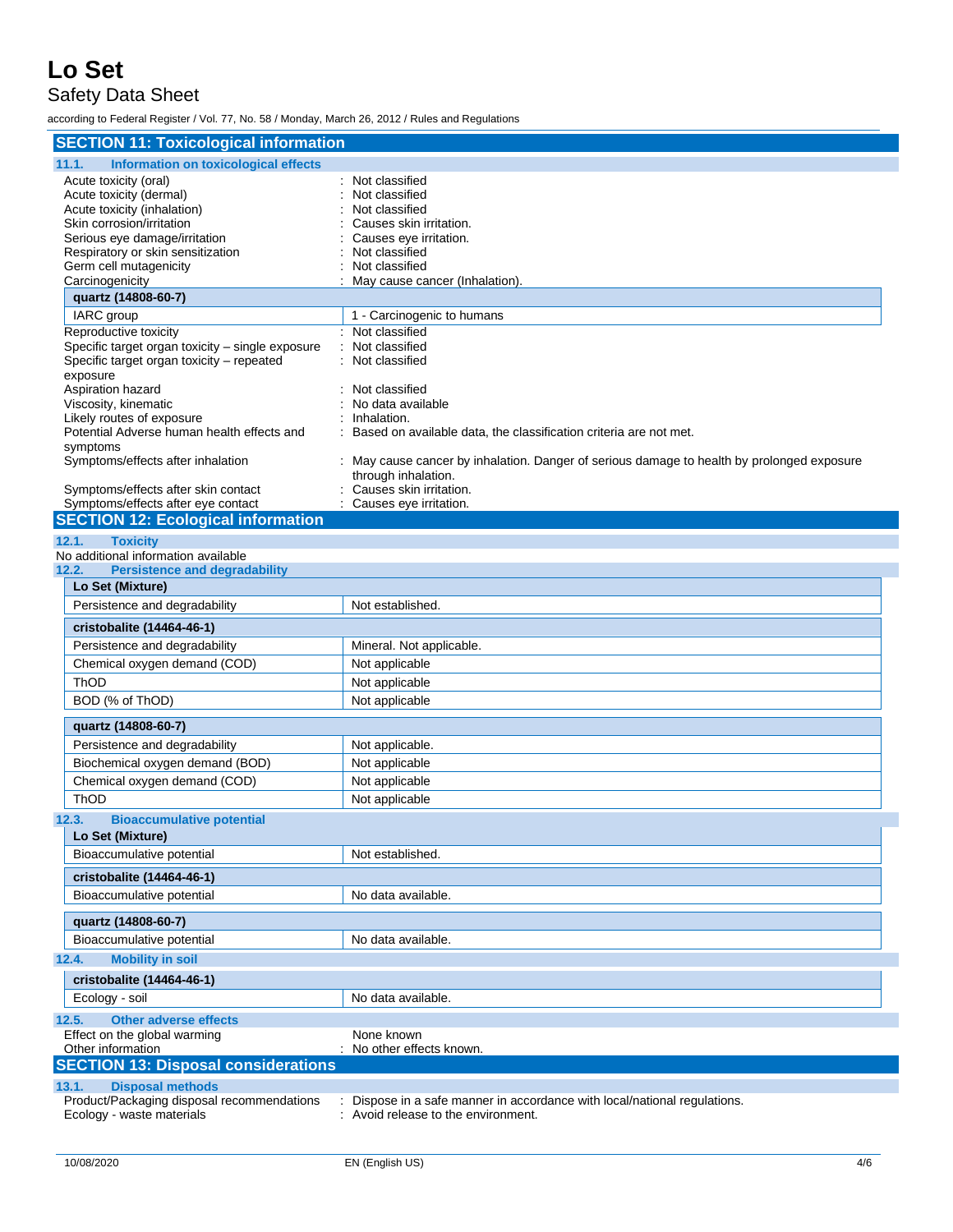### Safety Data Sheet

according to Federal Register / Vol. 77, No. 58 / Monday, March 26, 2012 / Rules and Regulations

| <b>SECTION 11: Toxicological information</b>                              |                                                                                            |
|---------------------------------------------------------------------------|--------------------------------------------------------------------------------------------|
| <b>Information on toxicological effects</b><br>11.1.                      |                                                                                            |
| Acute toxicity (oral)                                                     | : Not classified                                                                           |
| Acute toxicity (dermal)                                                   | Not classified                                                                             |
| Acute toxicity (inhalation)<br>Skin corrosion/irritation                  | Not classified<br>Causes skin irritation.                                                  |
| Serious eye damage/irritation                                             | Causes eye irritation.                                                                     |
| Respiratory or skin sensitization                                         | Not classified                                                                             |
| Germ cell mutagenicity                                                    | Not classified                                                                             |
| Carcinogenicity                                                           | May cause cancer (Inhalation).                                                             |
| quartz (14808-60-7)                                                       |                                                                                            |
| IARC group                                                                | 1 - Carcinogenic to humans                                                                 |
| Reproductive toxicity<br>Specific target organ toxicity - single exposure | : Not classified<br>: Not classified                                                       |
| Specific target organ toxicity - repeated                                 | : Not classified                                                                           |
| exposure                                                                  |                                                                                            |
| Aspiration hazard                                                         | Not classified                                                                             |
| Viscosity, kinematic                                                      | No data available                                                                          |
| Likely routes of exposure<br>Potential Adverse human health effects and   | Inhalation.<br>: Based on available data, the classification criteria are not met.         |
| symptoms                                                                  |                                                                                            |
| Symptoms/effects after inhalation                                         | : May cause cancer by inhalation. Danger of serious damage to health by prolonged exposure |
|                                                                           | through inhalation.                                                                        |
| Symptoms/effects after skin contact<br>Symptoms/effects after eye contact | : Causes skin irritation.<br>: Causes eye irritation.                                      |
| <b>SECTION 12: Ecological information</b>                                 |                                                                                            |
| 12.1.<br><b>Toxicity</b>                                                  |                                                                                            |
| No additional information available                                       |                                                                                            |
| <b>Persistence and degradability</b><br>12.2.                             |                                                                                            |
| Lo Set (Mixture)                                                          |                                                                                            |
| Persistence and degradability                                             | Not established.                                                                           |
| cristobalite (14464-46-1)                                                 |                                                                                            |
| Persistence and degradability                                             | Mineral. Not applicable.                                                                   |
| Chemical oxygen demand (COD)                                              | Not applicable                                                                             |
| ThOD                                                                      | Not applicable                                                                             |
| BOD (% of ThOD)                                                           | Not applicable                                                                             |
| quartz (14808-60-7)                                                       |                                                                                            |
| Persistence and degradability                                             | Not applicable.                                                                            |
| Biochemical oxygen demand (BOD)                                           | Not applicable                                                                             |
| Chemical oxygen demand (COD)                                              | Not applicable                                                                             |
| <b>ThOD</b>                                                               | Not applicable                                                                             |
| 12.3.<br><b>Bioaccumulative potential</b>                                 |                                                                                            |
| Lo Set (Mixture)                                                          |                                                                                            |
| Bioaccumulative potential                                                 | Not established.                                                                           |
| cristobalite (14464-46-1)                                                 |                                                                                            |
| Bioaccumulative potential                                                 | No data available.                                                                         |
|                                                                           |                                                                                            |
| quartz (14808-60-7)<br>Bioaccumulative potential                          | No data available.                                                                         |
|                                                                           |                                                                                            |
| <b>Mobility in soil</b><br>12.4.                                          |                                                                                            |
| cristobalite (14464-46-1)                                                 |                                                                                            |
| Ecology - soil                                                            | No data available.                                                                         |
| 12.5.<br><b>Other adverse effects</b>                                     |                                                                                            |
| Effect on the global warming<br>Other information                         | None known<br>No other effects known.                                                      |
| <b>SECTION 13: Disposal considerations</b>                                |                                                                                            |
| 13.1.<br><b>Disposal methods</b>                                          |                                                                                            |
| Product/Packaging disposal recommendations                                | Dispose in a safe manner in accordance with local/national regulations.                    |
| Ecology - waste materials                                                 | : Avoid release to the environment.                                                        |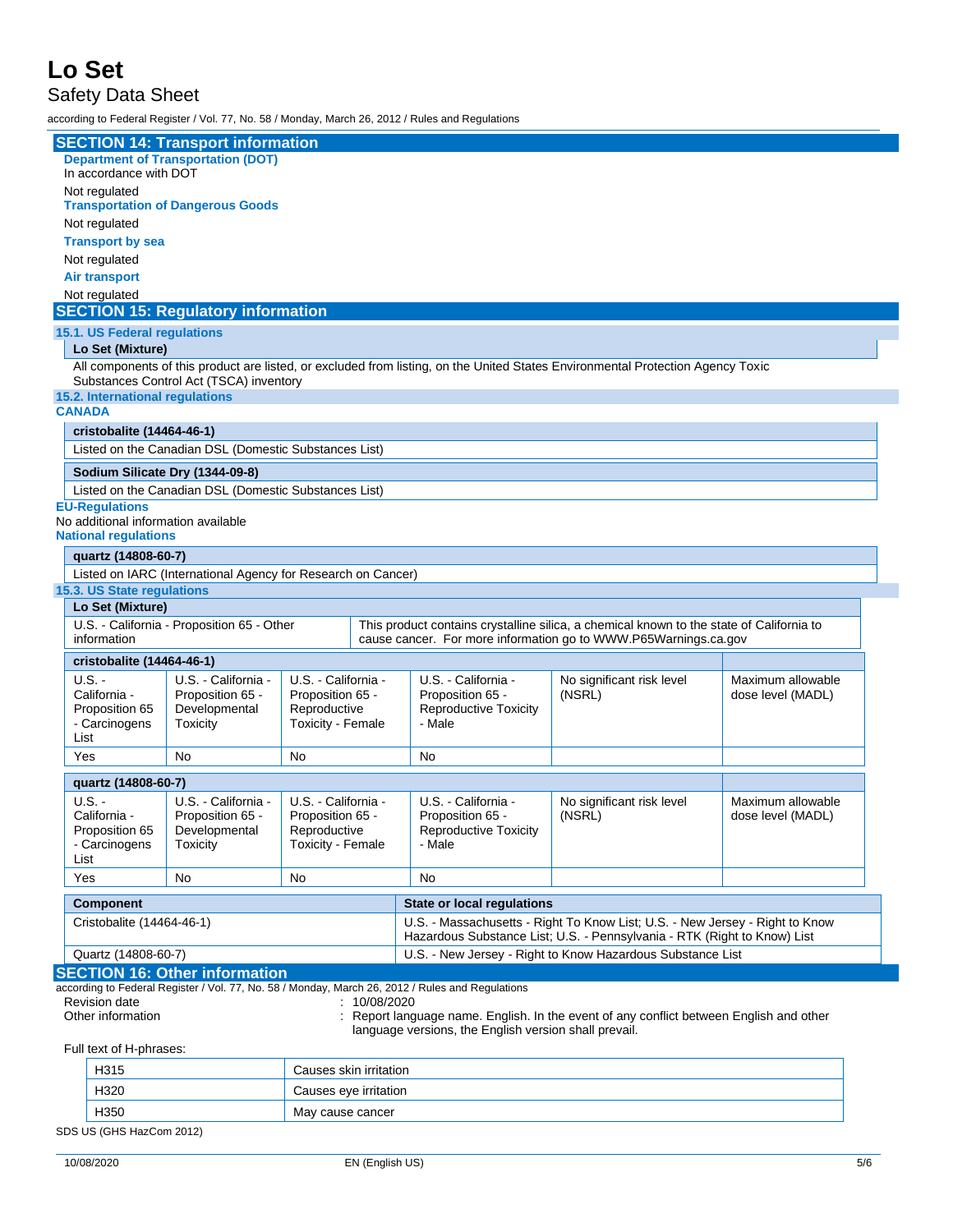### Safety Data Sheet

according to Federal Register / Vol. 77, No. 58 / Monday, March 26, 2012 / Rules and Regulations

|                                                                                                                                                                            |                                                             | <b>SECTION 14: Transport information</b><br><b>Department of Transportation (DOT)</b>            |                                                                              |                                                                                                                                                          |                                                            |                                                                                   |                                                                                                                                                             |                                        |
|----------------------------------------------------------------------------------------------------------------------------------------------------------------------------|-------------------------------------------------------------|--------------------------------------------------------------------------------------------------|------------------------------------------------------------------------------|----------------------------------------------------------------------------------------------------------------------------------------------------------|------------------------------------------------------------|-----------------------------------------------------------------------------------|-------------------------------------------------------------------------------------------------------------------------------------------------------------|----------------------------------------|
|                                                                                                                                                                            | In accordance with DOT                                      |                                                                                                  |                                                                              |                                                                                                                                                          |                                                            |                                                                                   |                                                                                                                                                             |                                        |
|                                                                                                                                                                            | Not regulated                                               | <b>Transportation of Dangerous Goods</b>                                                         |                                                                              |                                                                                                                                                          |                                                            |                                                                                   |                                                                                                                                                             |                                        |
|                                                                                                                                                                            | Not regulated                                               |                                                                                                  |                                                                              |                                                                                                                                                          |                                                            |                                                                                   |                                                                                                                                                             |                                        |
|                                                                                                                                                                            | <b>Transport by sea</b>                                     |                                                                                                  |                                                                              |                                                                                                                                                          |                                                            |                                                                                   |                                                                                                                                                             |                                        |
|                                                                                                                                                                            | Not regulated                                               |                                                                                                  |                                                                              |                                                                                                                                                          |                                                            |                                                                                   |                                                                                                                                                             |                                        |
|                                                                                                                                                                            | <b>Air transport</b>                                        |                                                                                                  |                                                                              |                                                                                                                                                          |                                                            |                                                                                   |                                                                                                                                                             |                                        |
|                                                                                                                                                                            | Not regulated                                               |                                                                                                  |                                                                              |                                                                                                                                                          |                                                            |                                                                                   |                                                                                                                                                             |                                        |
|                                                                                                                                                                            |                                                             | <b>SECTION 15: Regulatory information</b>                                                        |                                                                              |                                                                                                                                                          |                                                            |                                                                                   |                                                                                                                                                             |                                        |
|                                                                                                                                                                            | 15.1. US Federal regulations                                |                                                                                                  |                                                                              |                                                                                                                                                          |                                                            |                                                                                   |                                                                                                                                                             |                                        |
|                                                                                                                                                                            | Lo Set (Mixture)                                            |                                                                                                  |                                                                              |                                                                                                                                                          |                                                            |                                                                                   |                                                                                                                                                             |                                        |
|                                                                                                                                                                            |                                                             |                                                                                                  |                                                                              |                                                                                                                                                          |                                                            |                                                                                   |                                                                                                                                                             |                                        |
| All components of this product are listed, or excluded from listing, on the United States Environmental Protection Agency Toxic<br>Substances Control Act (TSCA) inventory |                                                             |                                                                                                  |                                                                              |                                                                                                                                                          |                                                            |                                                                                   |                                                                                                                                                             |                                        |
|                                                                                                                                                                            | 15.2. International regulations                             |                                                                                                  |                                                                              |                                                                                                                                                          |                                                            |                                                                                   |                                                                                                                                                             |                                        |
| <b>CANADA</b>                                                                                                                                                              |                                                             |                                                                                                  |                                                                              |                                                                                                                                                          |                                                            |                                                                                   |                                                                                                                                                             |                                        |
|                                                                                                                                                                            | cristobalite (14464-46-1)                                   |                                                                                                  |                                                                              |                                                                                                                                                          |                                                            |                                                                                   |                                                                                                                                                             |                                        |
|                                                                                                                                                                            |                                                             | Listed on the Canadian DSL (Domestic Substances List)                                            |                                                                              |                                                                                                                                                          |                                                            |                                                                                   |                                                                                                                                                             |                                        |
|                                                                                                                                                                            |                                                             | Sodium Silicate Dry (1344-09-8)                                                                  |                                                                              |                                                                                                                                                          |                                                            |                                                                                   |                                                                                                                                                             |                                        |
|                                                                                                                                                                            |                                                             | Listed on the Canadian DSL (Domestic Substances List)                                            |                                                                              |                                                                                                                                                          |                                                            |                                                                                   |                                                                                                                                                             |                                        |
|                                                                                                                                                                            | <b>EU-Regulations</b>                                       |                                                                                                  |                                                                              |                                                                                                                                                          |                                                            |                                                                                   |                                                                                                                                                             |                                        |
|                                                                                                                                                                            |                                                             | No additional information available                                                              |                                                                              |                                                                                                                                                          |                                                            |                                                                                   |                                                                                                                                                             |                                        |
|                                                                                                                                                                            | <b>National regulations</b>                                 |                                                                                                  |                                                                              |                                                                                                                                                          |                                                            |                                                                                   |                                                                                                                                                             |                                        |
|                                                                                                                                                                            | quartz (14808-60-7)                                         |                                                                                                  |                                                                              |                                                                                                                                                          |                                                            |                                                                                   |                                                                                                                                                             |                                        |
|                                                                                                                                                                            |                                                             | Listed on IARC (International Agency for Research on Cancer)                                     |                                                                              |                                                                                                                                                          |                                                            |                                                                                   |                                                                                                                                                             |                                        |
|                                                                                                                                                                            | 15.3. US State regulations                                  |                                                                                                  |                                                                              |                                                                                                                                                          |                                                            |                                                                                   |                                                                                                                                                             |                                        |
|                                                                                                                                                                            | Lo Set (Mixture)                                            |                                                                                                  |                                                                              |                                                                                                                                                          |                                                            |                                                                                   |                                                                                                                                                             |                                        |
|                                                                                                                                                                            | information                                                 | U.S. - California - Proposition 65 - Other                                                       |                                                                              |                                                                                                                                                          |                                                            |                                                                                   | This product contains crystalline silica, a chemical known to the state of California to<br>cause cancer. For more information go to WWW.P65Warnings.ca.gov |                                        |
|                                                                                                                                                                            |                                                             |                                                                                                  |                                                                              |                                                                                                                                                          |                                                            |                                                                                   |                                                                                                                                                             |                                        |
|                                                                                                                                                                            | cristobalite (14464-46-1)                                   |                                                                                                  |                                                                              |                                                                                                                                                          |                                                            |                                                                                   |                                                                                                                                                             |                                        |
|                                                                                                                                                                            | $U.S. -$<br>California -<br>Proposition 65                  | U.S. - California -<br>Proposition 65 -<br>Developmental                                         | U.S. - California -<br>Proposition 65 -<br>Reproductive                      |                                                                                                                                                          |                                                            | U.S. California -<br>Proposition 65 -<br><b>Reproductive Toxicity</b>             | No significant risk level<br>(NSRL)                                                                                                                         | Maximum allowable<br>dose level (MADL) |
| List                                                                                                                                                                       | - Carcinogens                                               | Toxicity                                                                                         | Toxicity - Female                                                            |                                                                                                                                                          |                                                            | - Male                                                                            |                                                                                                                                                             |                                        |
| Yes                                                                                                                                                                        |                                                             | <b>No</b>                                                                                        | No                                                                           |                                                                                                                                                          |                                                            | No                                                                                |                                                                                                                                                             |                                        |
|                                                                                                                                                                            | quartz (14808-60-7)                                         |                                                                                                  |                                                                              |                                                                                                                                                          |                                                            |                                                                                   |                                                                                                                                                             |                                        |
| List                                                                                                                                                                       | $U.S. -$<br>California -<br>Proposition 65<br>- Carcinogens | U.S. - California -<br>Proposition 65 -<br>Developmental<br>Toxicity                             | U.S. - California -<br>Proposition 65 -<br>Reproductive<br>Toxicity - Female |                                                                                                                                                          |                                                            | U.S. - California -<br>Proposition 65 -<br><b>Reproductive Toxicity</b><br>- Male | No significant risk level<br>(NSRL)                                                                                                                         | Maximum allowable<br>dose level (MADL) |
| Yes                                                                                                                                                                        |                                                             | No                                                                                               | No                                                                           |                                                                                                                                                          |                                                            | No                                                                                |                                                                                                                                                             |                                        |
|                                                                                                                                                                            | <b>Component</b>                                            |                                                                                                  |                                                                              |                                                                                                                                                          | <b>State or local regulations</b>                          |                                                                                   |                                                                                                                                                             |                                        |
| Cristobalite (14464-46-1)                                                                                                                                                  |                                                             |                                                                                                  |                                                                              | U.S. - Massachusetts - Right To Know List; U.S. - New Jersey - Right to Know<br>Hazardous Substance List; U.S. - Pennsylvania - RTK (Right to Know) List |                                                            |                                                                                   |                                                                                                                                                             |                                        |
| Quartz (14808-60-7)                                                                                                                                                        |                                                             |                                                                                                  |                                                                              |                                                                                                                                                          | U.S. - New Jersey - Right to Know Hazardous Substance List |                                                                                   |                                                                                                                                                             |                                        |
|                                                                                                                                                                            |                                                             | <b>SECTION 16: Other information</b>                                                             |                                                                              |                                                                                                                                                          |                                                            |                                                                                   |                                                                                                                                                             |                                        |
|                                                                                                                                                                            | <b>Revision date</b><br>Other information                   | according to Federal Register / Vol. 77, No. 58 / Monday, March 26, 2012 / Rules and Regulations |                                                                              | : 10/08/2020                                                                                                                                             |                                                            | language versions, the English version shall prevail.                             | : Report language name. English. In the event of any conflict between English and other                                                                     |                                        |
| Full text of H-phrases:                                                                                                                                                    |                                                             |                                                                                                  |                                                                              |                                                                                                                                                          |                                                            |                                                                                   |                                                                                                                                                             |                                        |
| H315<br>Causes skin irritation                                                                                                                                             |                                                             |                                                                                                  |                                                                              |                                                                                                                                                          |                                                            |                                                                                   |                                                                                                                                                             |                                        |
| H320<br>Causes eye irritation                                                                                                                                              |                                                             |                                                                                                  |                                                                              |                                                                                                                                                          |                                                            |                                                                                   |                                                                                                                                                             |                                        |

H350 May cause cancer